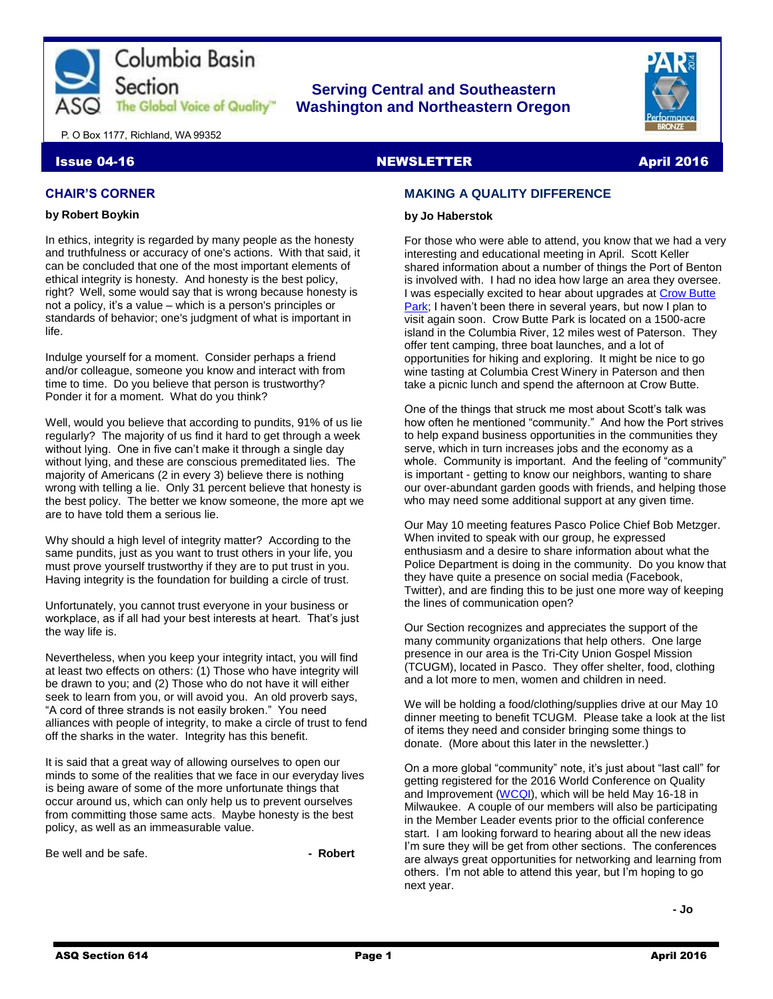

## **Serving Central and Southeastern The Global Voice of Quality | Washington and Northeastern Oregon**



P. O Box 1177, Richland, WA 99352

## **Issue 04-16 NEWSLETTER April 2016**

## **CHAIR'S CORNER**

#### **by Robert Boykin**

In ethics, integrity is regarded by many people as the honesty and truthfulness or accuracy of one's actions. With that said, it can be concluded that one of the most important elements of ethical integrity is honesty. And honesty is the best policy, right? Well, some would say that is wrong because honesty is not a policy, it's a value – which is a person's principles or standards of behavior; one's judgment of what is important in life.

Indulge yourself for a moment. Consider perhaps a friend and/or colleague, someone you know and interact with from time to time. Do you believe that person is trustworthy? Ponder it for a moment. What do you think?

Well, would you believe that according to pundits, 91% of us lie regularly? The majority of us find it hard to get through a week without lying. One in five can't make it through a single day without lying, and these are conscious premeditated lies. The majority of Americans (2 in every 3) believe there is nothing wrong with telling a lie. Only 31 percent believe that honesty is the best policy. The better we know someone, the more apt we are to have told them a serious lie.

Why should a high level of integrity matter? According to the same pundits, just as you want to trust others in your life, you must prove yourself trustworthy if they are to put trust in you. Having integrity is the foundation for building a circle of trust.

Unfortunately, you cannot trust everyone in your business or workplace, as if all had your best interests at heart. That's just the way life is.

Nevertheless, when you keep your integrity intact, you will find at least two effects on others: (1) Those who have integrity will be drawn to you; and (2) Those who do not have it will either seek to learn from you, or will avoid you. An old proverb says, "A cord of three strands is not easily broken." You need alliances with people of integrity, to make a circle of trust to fend off the sharks in the water. Integrity has this benefit.

It is said that a great way of allowing ourselves to open our minds to some of the realities that we face in our everyday lives is being aware of some of the more unfortunate things that occur around us, which can only help us to prevent ourselves from committing those same acts. Maybe honesty is the best policy, as well as an immeasurable value.

Be well and be safe. **- All and be safe.** All and be safe.

## **MAKING A QUALITY DIFFERENCE**

#### **by Jo Haberstok**

For those who were able to attend, you know that we had a very interesting and educational meeting in April. Scott Keller shared information about a number of things the Port of Benton is involved with. I had no idea how large an area they oversee. I was especially excited to hear about upgrades at Crow Butte [Park;](https://www.crowbutte.com/crow-butte-gallery/) I haven't been there in several years, but now I plan to visit again soon. Crow Butte Park is located on a 1500-acre island in the Columbia River, 12 miles west of Paterson. They offer tent camping, three boat launches, and a lot of opportunities for hiking and exploring. It might be nice to go wine tasting at Columbia Crest Winery in Paterson and then take a picnic lunch and spend the afternoon at Crow Butte.

One of the things that struck me most about Scott's talk was how often he mentioned "community." And how the Port strives to help expand business opportunities in the communities they serve, which in turn increases jobs and the economy as a whole. Community is important. And the feeling of "community" is important - getting to know our neighbors, wanting to share our over-abundant garden goods with friends, and helping those who may need some additional support at any given time.

Our May 10 meeting features Pasco Police Chief Bob Metzger. When invited to speak with our group, he expressed enthusiasm and a desire to share information about what the Police Department is doing in the community. Do you know that they have quite a presence on social media (Facebook, Twitter), and are finding this to be just one more way of keeping the lines of communication open?

Our Section recognizes and appreciates the support of the many community organizations that help others. One large presence in our area is the Tri-City Union Gospel Mission (TCUGM), located in Pasco. They offer shelter, food, clothing and a lot more to men, women and children in need.

We will be holding a food/clothing/supplies drive at our May 10 dinner meeting to benefit TCUGM. Please take a look at the list of items they need and consider bringing some things to donate. (More about this later in the newsletter.)

On a more global "community" note, it's just about "last call" for getting registered for the 2016 World Conference on Quality and Improvement [\(WCQI\)](http://asq.org/wcqi/), which will be held May 16-18 in Milwaukee. A couple of our members will also be participating in the Member Leader events prior to the official conference start. I am looking forward to hearing about all the new ideas I'm sure they will be get from other sections. The conferences are always great opportunities for networking and learning from others. I'm not able to attend this year, but I'm hoping to go next year.

 **- Jo**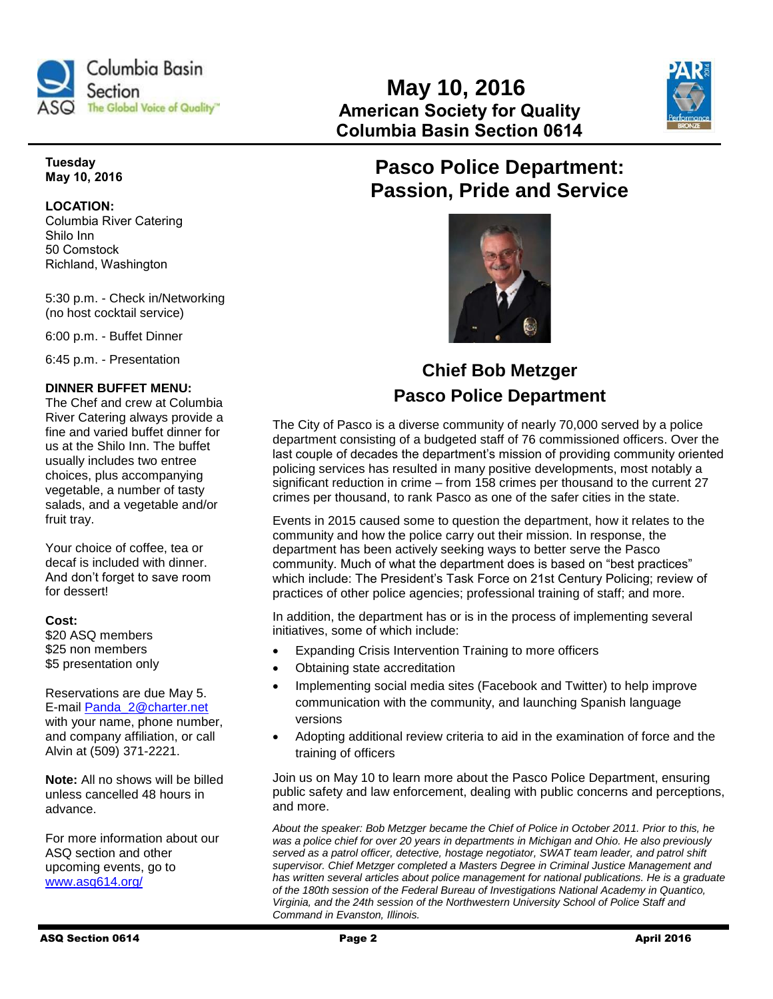

 **May 10, 2016 The Global Voice of Quality" American Society for Quality Columbia Basin Section 0614**



#### **Tuesday May 10, 2016**

## **LOCATION:**

Columbia River Catering Shilo Inn 50 Comstock Richland, Washington

5:30 p.m. - Check in/Networking (no host cocktail service)

6:00 p.m. - Buffet Dinner

6:45 p.m. - Presentation

## **DINNER BUFFET MENU:**

The Chef and crew at Columbia River Catering always provide a fine and varied buffet dinner for us at the Shilo Inn. The buffet usually includes two entree choices, plus accompanying vegetable, a number of tasty salads, and a vegetable and/or fruit tray.

Your choice of coffee, tea or decaf is included with dinner. And don't forget to save room for dessert!

## **Cost:**

\$20 ASQ members \$25 non members \$5 presentation only

Reservations are due May 5. E-mail [Panda\\_2@charter.net](mailto:Panda_2@charter.net) with your name, phone number, and company affiliation, or call Alvin at (509) 371-2221.

**Note:** All no shows will be billed unless cancelled 48 hours in advance.

For more information about our ASQ section and other upcoming events, go to [www.asq614.org/](http://www.asq614.org/)

# **Pasco Police Department: Passion, Pride and Service**



# **Chief Bob Metzger Pasco Police Department**

The City of Pasco is a diverse community of nearly 70,000 served by a police department consisting of a budgeted staff of 76 commissioned officers. Over the last couple of decades the department's mission of providing community oriented policing services has resulted in many positive developments, most notably a significant reduction in crime – from 158 crimes per thousand to the current 27 crimes per thousand, to rank Pasco as one of the safer cities in the state.

Events in 2015 caused some to question the department, how it relates to the community and how the police carry out their mission. In response, the department has been actively seeking ways to better serve the Pasco community. Much of what the department does is based on "best practices" which include: The President's Task Force on 21st Century Policing; review of practices of other police agencies; professional training of staff; and more.

In addition, the department has or is in the process of implementing several initiatives, some of which include:

- Expanding Crisis Intervention Training to more officers
- Obtaining state accreditation
- Implementing social media sites (Facebook and Twitter) to help improve communication with the community, and launching Spanish language versions
- Adopting additional review criteria to aid in the examination of force and the training of officers

Join us on May 10 to learn more about the Pasco Police Department, ensuring public safety and law enforcement, dealing with public concerns and perceptions, and more.

*About the speaker: Bob Metzger became the Chief of Police in October 2011. Prior to this, he was a police chief for over 20 years in departments in Michigan and Ohio. He also previously served as a patrol officer, detective, hostage negotiator, SWAT team leader, and patrol shift supervisor. Chief Metzger completed a Masters Degree in Criminal Justice Management and*  has written several articles about police management for national publications. He is a graduate *of the 180th session of the Federal Bureau of Investigations National Academy in Quantico, Virginia, and the 24th session of the Northwestern University School of Police Staff and Command in Evanston, Illinois.*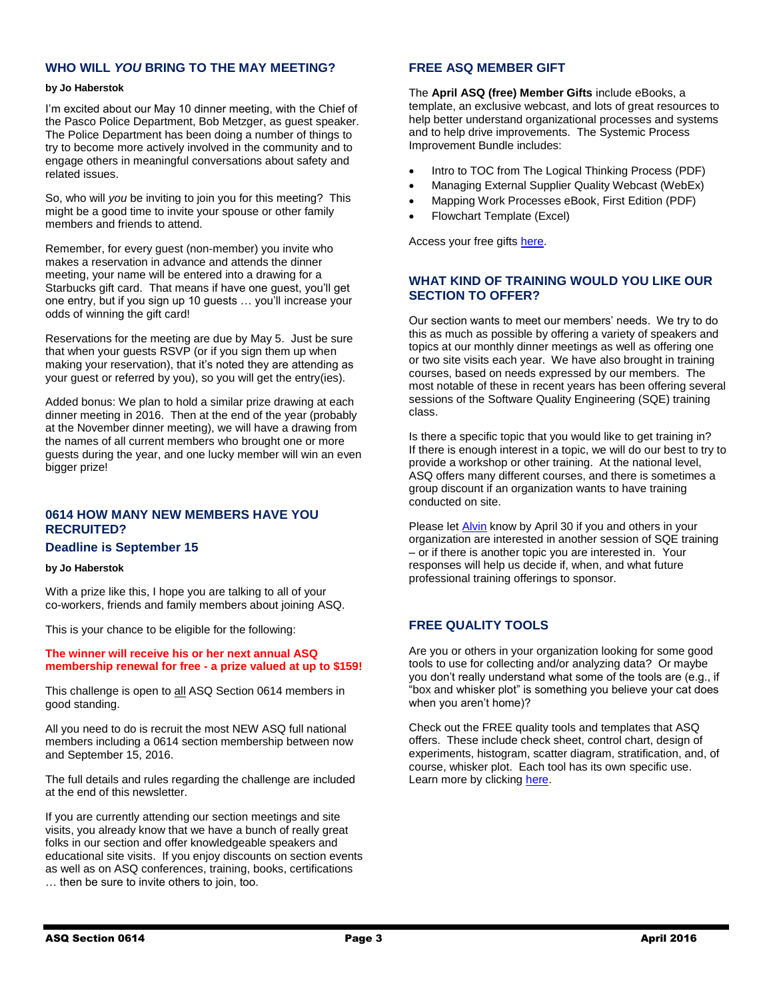## **WHO WILL** *YOU* **BRING TO THE MAY MEETING?**

#### **by Jo Haberstok**

I'm excited about our May 10 dinner meeting, with the Chief of the Pasco Police Department, Bob Metzger, as guest speaker. The Police Department has been doing a number of things to try to become more actively involved in the community and to engage others in meaningful conversations about safety and related issues.

So, who will *you* be inviting to join you for this meeting? This might be a good time to invite your spouse or other family members and friends to attend.

Remember, for every guest (non-member) you invite who makes a reservation in advance and attends the dinner meeting, your name will be entered into a drawing for a Starbucks gift card. That means if have one guest, you'll get one entry, but if you sign up 10 guests … you'll increase your odds of winning the gift card!

Reservations for the meeting are due by May 5. Just be sure that when your guests RSVP (or if you sign them up when making your reservation), that it's noted they are attending as your guest or referred by you), so you will get the entry(ies).

Added bonus: We plan to hold a similar prize drawing at each dinner meeting in 2016. Then at the end of the year (probably at the November dinner meeting), we will have a drawing from the names of all current members who brought one or more guests during the year, and one lucky member will win an even bigger prize!

## **0614 HOW MANY NEW MEMBERS HAVE YOU RECRUITED?**

## **Deadline is September 15**

#### **by Jo Haberstok**

With a prize like this, I hope you are talking to all of your co-workers, friends and family members about joining ASQ.

This is your chance to be eligible for the following:

**The winner will receive his or her next annual ASQ membership renewal for free - a prize valued at up to \$159!**

This challenge is open to all ASQ Section 0614 members in good standing.

All you need to do is recruit the most NEW ASQ full national members including a 0614 section membership between now and September 15, 2016.

The full details and rules regarding the challenge are included at the end of this newsletter.

If you are currently attending our section meetings and site visits, you already know that we have a bunch of really great folks in our section and offer knowledgeable speakers and educational site visits. If you enjoy discounts on section events as well as on ASQ conferences, training, books, certifications … then be sure to invite others to join, too.

## **FREE ASQ MEMBER GIFT**

The **April ASQ (free) Member Gifts** include eBooks, a template, an exclusive webcast, and lots of great resources to help better understand organizational processes and systems and to help drive improvements. The Systemic Process Improvement Bundle includes:

- Intro to TOC from The Logical Thinking Process (PDF)
- Managing External Supplier Quality Webcast (WebEx)
- Mapping Work Processes eBook, First Edition (PDF)
- Flowchart Template (Excel)

Access your free gift[s here.](http://asq.org/membership/members/gift/?utm_content=&utm_source=email&utm_medium=email&utm_campaign=marketing_engagement_bg040116_aprilmembergift&SSOForce=Y)

## **WHAT KIND OF TRAINING WOULD YOU LIKE OUR SECTION TO OFFER?**

Our section wants to meet our members' needs. We try to do this as much as possible by offering a variety of speakers and topics at our monthly dinner meetings as well as offering one or two site visits each year. We have also brought in training courses, based on needs expressed by our members. The most notable of these in recent years has been offering several sessions of the Software Quality Engineering (SQE) training class.

Is there a specific topic that you would like to get training in? If there is enough interest in a topic, we will do our best to try to provide a workshop or other training. At the national level, ASQ offers many different courses, and there is sometimes a group discount if an organization wants to have training conducted on site.

Please let **Alvin** know by April 30 if you and others in your organization are interested in another session of SQE training – or if there is another topic you are interested in. Your responses will help us decide if, when, and what future professional training offerings to sponsor.

## **FREE QUALITY TOOLS**

Are you or others in your organization looking for some good tools to use for collecting and/or analyzing data? Or maybe you don't really understand what some of the tools are (e.g., if "box and whisker plot" is something you believe your cat does when you aren't home)?

Check out the FREE quality tools and templates that ASQ offers. These include check sheet, control chart, design of experiments, histogram, scatter diagram, stratification, and, of course, whisker plot. Each tool has its own specific use. Learn more by clickin[g here.](http://asq.org/learn-about-quality/data-collection-analysis-tools/overview/overview.html?utm_content=&utm_source=email&utm_medium=email&utm_campaign=communications_asq%20weekly%20_04132016)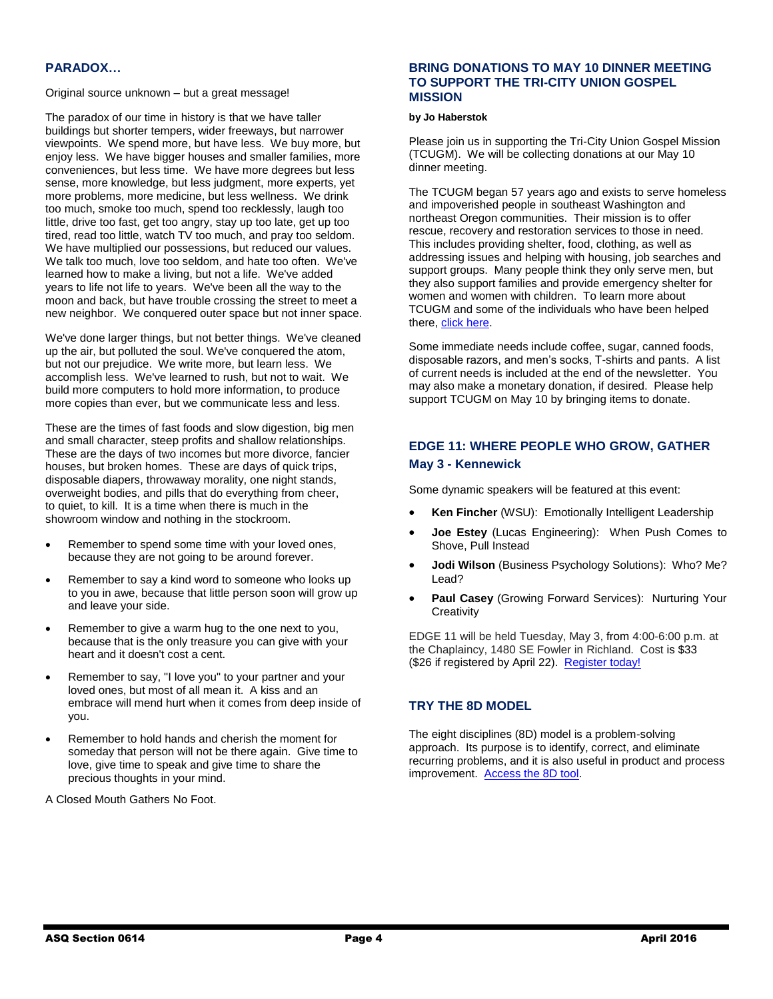### **PARADOX…**

Original source unknown – but a great message!

The paradox of our time in history is that we have taller buildings but shorter tempers, wider freeways, but narrower viewpoints. We spend more, but have less. We buy more, but enjoy less. We have bigger houses and smaller families, more conveniences, but less time. We have more degrees but less sense, more knowledge, but less judgment, more experts, yet more problems, more medicine, but less wellness. We drink too much, smoke too much, spend too recklessly, laugh too little, drive too fast, get too angry, stay up too late, get up too tired, read too little, watch TV too much, and pray too seldom. We have multiplied our possessions, but reduced our values. We talk too much, love too seldom, and hate too often. We've learned how to make a living, but not a life. We've added years to life not life to years. We've been all the way to the moon and back, but have trouble crossing the street to meet a new neighbor. We conquered outer space but not inner space.

We've done larger things, but not better things. We've cleaned up the air, but polluted the soul. We've conquered the atom, but not our prejudice. We write more, but learn less. We accomplish less. We've learned to rush, but not to wait. We build more computers to hold more information, to produce more copies than ever, but we communicate less and less.

These are the times of fast foods and slow digestion, big men and small character, steep profits and shallow relationships. These are the days of two incomes but more divorce, fancier houses, but broken homes. These are days of quick trips, disposable diapers, throwaway morality, one night stands, overweight bodies, and pills that do everything from cheer, to quiet, to kill. It is a time when there is much in the showroom window and nothing in the stockroom.

- Remember to spend some time with your loved ones, because they are not going to be around forever.
- Remember to say a kind word to someone who looks up to you in awe, because that little person soon will grow up and leave your side.
- Remember to give a warm hug to the one next to you, because that is the only treasure you can give with your heart and it doesn't cost a cent.
- Remember to say, "I love you" to your partner and your loved ones, but most of all mean it. A kiss and an embrace will mend hurt when it comes from deep inside of you.
- Remember to hold hands and cherish the moment for someday that person will not be there again. Give time to love, give time to speak and give time to share the precious thoughts in your mind.

A Closed Mouth Gathers No Foot.

## **BRING DONATIONS TO MAY 10 DINNER MEETING TO SUPPORT THE TRI-CITY UNION GOSPEL MISSION**

#### **by Jo Haberstok**

Please join us in supporting the Tri-City Union Gospel Mission (TCUGM). We will be collecting donations at our May 10 dinner meeting.

The TCUGM began 57 years ago and exists to serve homeless and impoverished people in southeast Washington and northeast Oregon communities. Their mission is to offer rescue, recovery and restoration services to those in need. This includes providing shelter, food, clothing, as well as addressing issues and helping with housing, job searches and support groups. Many people think they only serve men, but they also support families and provide emergency shelter for women and women with children. To learn more about TCUGM and some of the individuals who have been helped there[, click here.](http://www.tcugm.org/lives-changed)

Some immediate needs include coffee, sugar, canned foods, disposable razors, and men's socks, T-shirts and pants. A list of current needs is included at the end of the newsletter. You may also make a monetary donation, if desired. Please help support TCUGM on May 10 by bringing items to donate.

## **EDGE 11: WHERE PEOPLE WHO GROW, GATHER May 3 - Kennewick**

Some dynamic speakers will be featured at this event:

- **Ken Fincher** (WSU): Emotionally Intelligent Leadership
- **Joe Estey** (Lucas Engineering): When Push Comes to Shove, Pull Instead
- **Jodi Wilson** (Business Psychology Solutions): Who? Me? Lead?
- **Paul Casey** (Growing Forward Services): Nurturing Your **Creativity**

EDGE 11 will be held Tuesday, May 3, from 4:00-6:00 p.m. at the Chaplaincy, 1480 SE Fowler in Richland. Cost is \$33 (\$26 if registered by April 22). [Register today!](http://www.paulcasey.org/product/edge-11-where-people-who-grow-gather/)

## **TRY THE 8D MODEL**

The eight disciplines (8D) model is a problem-solving approach. Its purpose is to identify, correct, and eliminate recurring problems, and it is also useful in product and process improvement. [Access the 8D tool.](http://links.communications.asq.org/ctt?kn=25&ms=MTQyNzcyMTMS1&r=MjcxMTI3MTkwODE4S0&b=0&j=NzYxNDc5MDAxS0&mt=1&rt=0)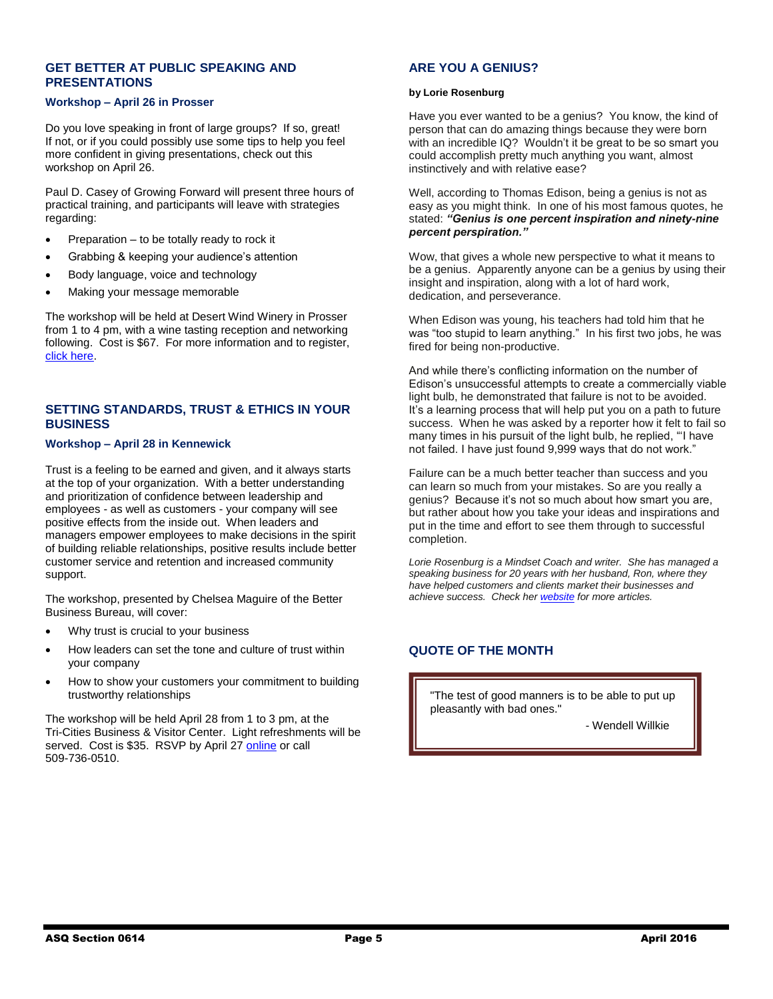## **GET BETTER AT PUBLIC SPEAKING AND PRESENTATIONS**

#### **Workshop – April 26 in Prosser**

Do you love speaking in front of large groups? If so, great! If not, or if you could possibly use some tips to help you feel more confident in giving presentations, check out this workshop on April 26.

Paul D. Casey of Growing Forward will present three hours of practical training, and participants will leave with strategies regarding:

- Preparation to be totally ready to rock it
- Grabbing & keeping your audience's attention
- Body language, voice and technology
- Making your message memorable

The workshop will be held at Desert Wind Winery in Prosser from 1 to 4 pm, with a wine tasting reception and networking following. Cost is \$67. For more information and to register, [click here.](http://www.paulcasey.org/product/getting-better-at-public-speaking-and-presentations/)

## **SETTING STANDARDS, TRUST & ETHICS IN YOUR BUSINESS**

#### **Workshop – April 28 in Kennewick**

Trust is a feeling to be earned and given, and it always starts at the top of your organization. With a better understanding and prioritization of confidence between leadership and employees - as well as customers - your company will see positive effects from the inside out. When leaders and managers empower employees to make decisions in the spirit of building reliable relationships, positive results include better customer service and retention and increased community support.

The workshop, presented by Chelsea Maguire of the Better Business Bureau, will cover:

- Why trust is crucial to your business
- How leaders can set the tone and culture of trust within your company
- How to show your customers your commitment to building trustworthy relationships

The workshop will be held April 28 from 1 to 3 pm, at the Tri-Cities Business & Visitor Center. Light refreshments will be served. Cost is \$35. RSVP by April 27 [online](http://www.tricityregionalchamber.com/business-development-university-program.html) or call 509-736-0510.

## **ARE YOU A GENIUS?**

#### **by Lorie Rosenburg**

Have you ever wanted to be a genius? You know, the kind of person that can do amazing things because they were born with an incredible IQ? Wouldn't it be great to be so smart you could accomplish pretty much anything you want, almost instinctively and with relative ease?

Well, according to Thomas Edison, being a genius is not as easy as you might think. In one of his most famous quotes, he stated: *"Genius is one percent inspiration and ninety-nine percent perspiration."*

Wow, that gives a whole new perspective to what it means to be a genius. Apparently anyone can be a genius by using their insight and inspiration, along with a lot of hard work, dedication, and perseverance.

When Edison was young, his teachers had told him that he was "too stupid to learn anything." In his first two jobs, he was fired for being non-productive.

And while there's conflicting information on the number of Edison's unsuccessful attempts to create a commercially viable light bulb, he demonstrated that failure is not to be avoided. It's a learning process that will help put you on a path to future success. When he was asked by a reporter how it felt to fail so many times in his pursuit of the light bulb, he replied, "'I have not failed. I have just found 9,999 ways that do not work."

Failure can be a much better teacher than success and you can learn so much from your mistakes. So are you really a genius? Because it's not so much about how smart you are, but rather about how you take your ideas and inspirations and put in the time and effort to see them through to successful completion.

*Lorie Rosenburg is a Mindset Coach and writer. She has managed a speaking business for 20 years with her husband, Ron, where they have helped customers and clients market their businesses and achieve success. Check her [website](http://lorierosenberg.com/bio/) for more articles.*

## **QUOTE OF THE MONTH**

Ī

"The test of good manners is to be able to put up pleasantly with bad ones."

- Wendell Willkie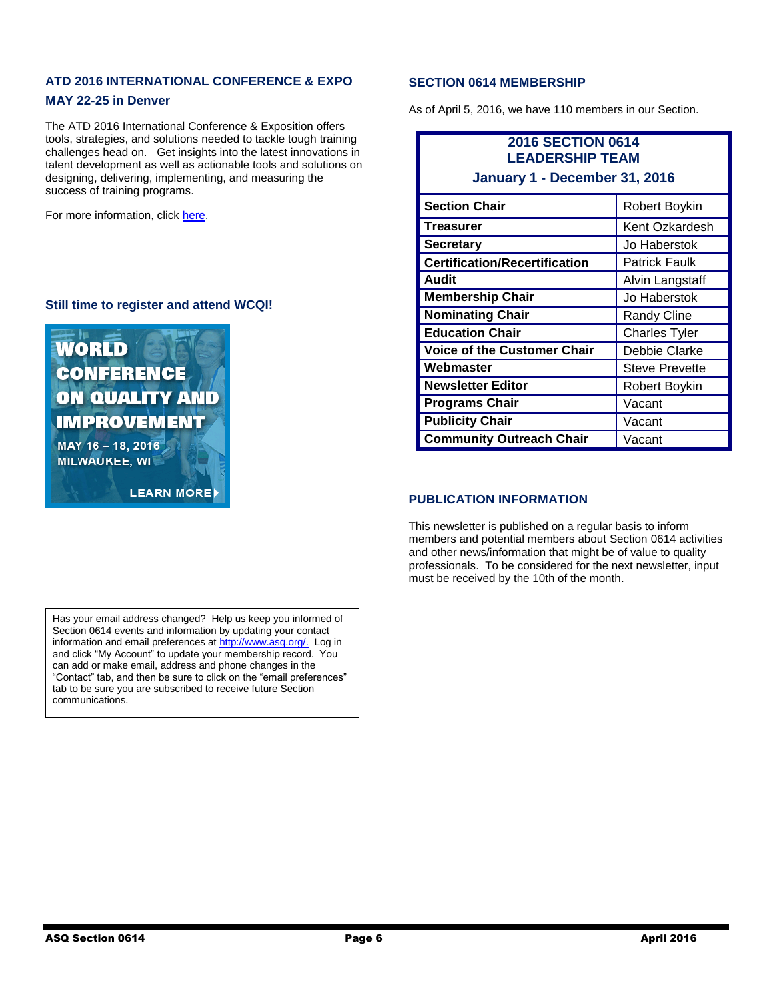## **ATD 2016 INTERNATIONAL CONFERENCE & EXPO**

## **MAY 22-25 in Denver**

The ATD 2016 International Conference & Exposition offers tools, strategies, and solutions needed to tackle tough training challenges head on. Get insights into the latest innovations in talent development as well as actionable tools and solutions on designing, delivering, implementing, and measuring the success of training programs.

For more information, click [here.](http://www.atdconference.org/About)

## **Still time to register and attend WCQI!**

# **WORLD CONFERENCE ON QUALITY AND IMPROVEMENT**

MAY 16 - 18, 2016 MILWAUKEE, WI

**LEARN MORE** 

Has your email address changed? Help us keep you informed of Section 0614 events and information by updating your contact information and email preferences a[t http://www.asq.org/.](http://www.asq.org/) Log in and click "My Account" to update your membership record. You can add or make email, address and phone changes in the "Contact" tab, and then be sure to click on the "email preferences" tab to be sure you are subscribed to receive future Section communications.

#### **SECTION 0614 MEMBERSHIP**

As of April 5, 2016, we have 110 members in our Section.

## **2016 SECTION 0614 LEADERSHIP TEAM January 1 - December 31, 2016**

| <b>Section Chair</b>                 | Robert Boykin         |
|--------------------------------------|-----------------------|
| <b>Treasurer</b>                     | Kent Ozkardesh        |
| <b>Secretary</b>                     | Jo Haberstok          |
| <b>Certification/Recertification</b> | <b>Patrick Faulk</b>  |
| <b>Audit</b>                         | Alvin Langstaff       |
| <b>Membership Chair</b>              | Jo Haberstok          |
| <b>Nominating Chair</b>              | <b>Randy Cline</b>    |
| <b>Education Chair</b>               | <b>Charles Tyler</b>  |
| <b>Voice of the Customer Chair</b>   | Debbie Clarke         |
| Webmaster                            | <b>Steve Prevette</b> |
| <b>Newsletter Editor</b>             | Robert Boykin         |
| <b>Programs Chair</b>                | Vacant                |
| <b>Publicity Chair</b>               | Vacant                |
| <b>Community Outreach Chair</b>      | Vacant                |

## **PUBLICATION INFORMATION**

This newsletter is published on a regular basis to inform members and potential members about Section 0614 activities and other news/information that might be of value to quality professionals. To be considered for the next newsletter, input must be received by the 10th of the month.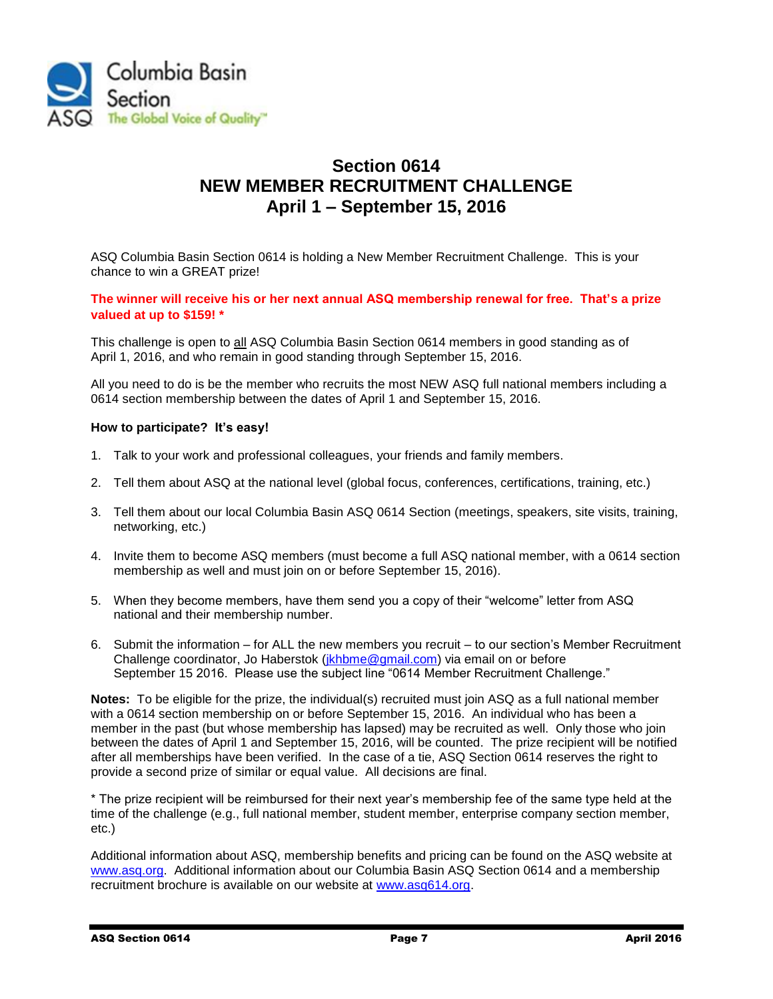

## **Section 0614 NEW MEMBER RECRUITMENT CHALLENGE April 1 – September 15, 2016**

ASQ Columbia Basin Section 0614 is holding a New Member Recruitment Challenge. This is your chance to win a GREAT prize!

**The winner will receive his or her next annual ASQ membership renewal for free. That's a prize valued at up to \$159! \***

This challenge is open to all ASQ Columbia Basin Section 0614 members in good standing as of April 1, 2016, and who remain in good standing through September 15, 2016.

All you need to do is be the member who recruits the most NEW ASQ full national members including a 0614 section membership between the dates of April 1 and September 15, 2016.

## **How to participate? It's easy!**

- 1. Talk to your work and professional colleagues, your friends and family members.
- 2. Tell them about ASQ at the national level (global focus, conferences, certifications, training, etc.)
- 3. Tell them about our local Columbia Basin ASQ 0614 Section (meetings, speakers, site visits, training, networking, etc.)
- 4. Invite them to become ASQ members (must become a full ASQ national member, with a 0614 section membership as well and must join on or before September 15, 2016).
- 5. When they become members, have them send you a copy of their "welcome" letter from ASQ national and their membership number.
- 6. Submit the information for ALL the new members you recruit to our section's Member Recruitment Challenge coordinator, Jo Haberstok [\(jkhbme@gmail.com\)](mailto:jkhbme@gmail.com) via email on or before September 15 2016. Please use the subject line "0614 Member Recruitment Challenge."

**Notes:** To be eligible for the prize, the individual(s) recruited must join ASQ as a full national member with a 0614 section membership on or before September 15, 2016. An individual who has been a member in the past (but whose membership has lapsed) may be recruited as well. Only those who join between the dates of April 1 and September 15, 2016, will be counted. The prize recipient will be notified after all memberships have been verified. In the case of a tie, ASQ Section 0614 reserves the right to provide a second prize of similar or equal value. All decisions are final.

\* The prize recipient will be reimbursed for their next year's membership fee of the same type held at the time of the challenge (e.g., full national member, student member, enterprise company section member, etc.)

Additional information about ASQ, membership benefits and pricing can be found on the ASQ website at [www.asq.org.](http://www.asq.org/) Additional information about our Columbia Basin ASQ Section 0614 and a membership recruitment brochure is available on our website at [www.asq614.org.](http://www.asq614.org/)